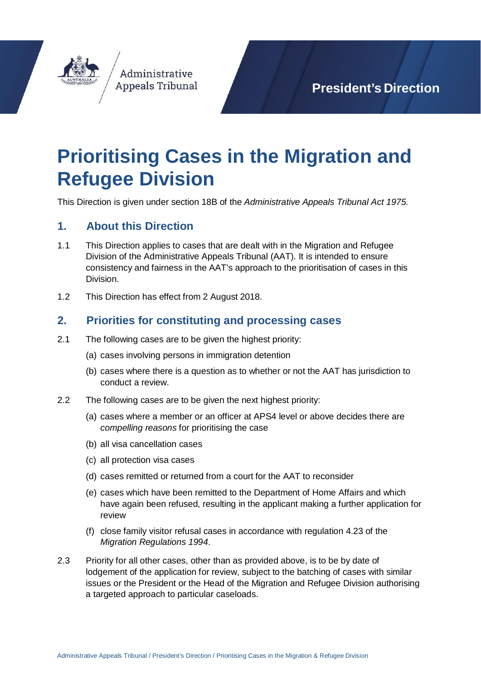

**President's Direction**

# **Prioritising Cases in the Migration and Refugee Division**

This Direction is given under section 18B of the *Administrative Appeals Tribunal Act 1975.*

# **1. About this Direction**

- 1.1 This Direction applies to cases that are dealt with in the Migration and Refugee Division of the Administrative Appeals Tribunal (AAT). It is intended to ensure consistency and fairness in the AAT's approach to the prioritisation of cases in this Division.
- 1.2 This Direction has effect from 2 August 2018.

### **2. Priorities for constituting and processing cases**

- 2.1 The following cases are to be given the highest priority:
	- (a) cases involving persons in immigration detention
	- (b) cases where there is a question as to whether or not the AAT has jurisdiction to conduct a review.
- 2.2 The following cases are to be given the next highest priority:
	- (a) cases where a member or an officer at APS4 level or above decides there are *compelling reasons* for prioritising the case
	- (b) all visa cancellation cases
	- (c) all protection visa cases
	- (d) cases remitted or returned from a court for the AAT to reconsider
	- (e) cases which have been remitted to the Department of Home Affairs and which have again been refused, resulting in the applicant making a further application for review
	- (f) close family visitor refusal cases in accordance with regulation [4.23](http://www.austlii.edu.au/au/legis/cth/consol_reg/mr1994227/s4.23.html) of the *[Migration Regulations 1994](http://www.austlii.edu.au/au/legis/cth/consol_reg/mr1994227/s4.23.html)*.
- 2.3 Priority for all other cases, other than as provided above, is to be by date of lodgement of the application for review, subject to the batching of cases with similar issues or the President or the Head of the Migration and Refugee Division authorising a targeted approach to particular caseloads.